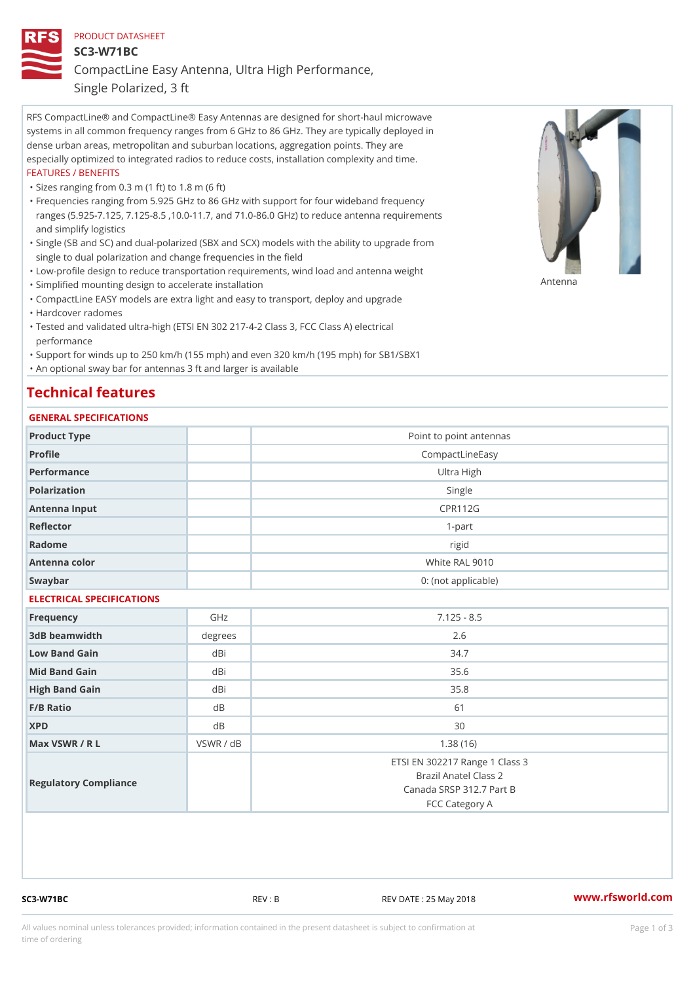## PRODUCT DATASHEET SC3-W71BC CompactLine Easy Antenna, Ultra High Performance, Single Polarized, 3 ft

RFS CompactLine® and CompactLine® Easy Antennas are designed for short-haul microwave systems in all common frequency ranges from 6 GHz to 86 GHz. They are typically deployed in dense urban areas, metropolitan and suburban locations, aggregation points. They are especially optimized to integrated radios to reduce costs, installation complexity and time. FEATURES / BENEFITS

"Sizes ranging from 0.3 m (1 ft) to 1.8 m (6 ft)

- Frequencies ranging from 5.925 GHz to 86 GHz with support for four wideband frequency " ranges (5.925-7.125, 7.125-8.5 ,10.0-11.7, and 71.0-86.0 GHz) to reduce antenna requirements and simplify logistics
- Single (SB and SC) and dual-polarized (SBX and SCX) models with the ability to upgrade from " single to dual polarization and change frequencies in the field
- "Low-profile design to reduce transportation requirements, wind load and antenna weight
- "Simplified mounting design to accelerate installation

 "CompactLine EASY models are extra light and easy to transport, deploy and upgrade "Hardcover radomes

Tested and validated ultra-high (ETSI EN 302 217-4-2 Class 3, FCC Class A) electrical " performance

 "Support for winds up to 250 km/h (155 mph) and even 320 km/h (195 mph) for SB1/SBX1 "An optional sway bar for antennas 3 ft and larger is available

## Technical features

## GENERAL SPECIFICATIONS

| OLIVLINAL OI LOII IOA I IONO |                |                                                                                                       |
|------------------------------|----------------|-------------------------------------------------------------------------------------------------------|
| Product Type                 |                | Point to point antennas                                                                               |
| Profile                      |                | CompactLineEasy                                                                                       |
| Performance                  |                | Ultra High                                                                                            |
| Polarization                 |                | Single                                                                                                |
| Antenna Input                |                | CPR112G                                                                                               |
| Reflector                    |                | $1-part$                                                                                              |
| Radome                       |                | rigid                                                                                                 |
| Antenna color                |                | White RAL 9010                                                                                        |
| Swaybar                      |                | 0: (not applicable)                                                                                   |
| ELECTRICAL SPECIFICATIONS    |                |                                                                                                       |
| Frequency                    | GHz            | $7.125 - 8.5$                                                                                         |
| 3dB beamwidth                | degree         | 2.6                                                                                                   |
| Low Band Gain                | dBi            | 34.7                                                                                                  |
| Mid Band Gain                | dBi            | 35.6                                                                                                  |
| High Band Gain               | dBi            | 35.8                                                                                                  |
| F/B Ratio                    | d B            | 61                                                                                                    |
| <b>XPD</b>                   | d <sub>B</sub> | 30                                                                                                    |
| Max VSWR / R L               | VSWR / dB      | 1.38(16)                                                                                              |
| Regulatory Compliance        |                | ETSI EN 302217 Range 1 Class 3<br>Brazil Anatel Class 2<br>Canada SRSP 312.7 Part B<br>FCC Category A |

SC3-W71BC REV : B REV DATE : 25 May 2018 [www.](https://www.rfsworld.com)rfsworld.com

Antenna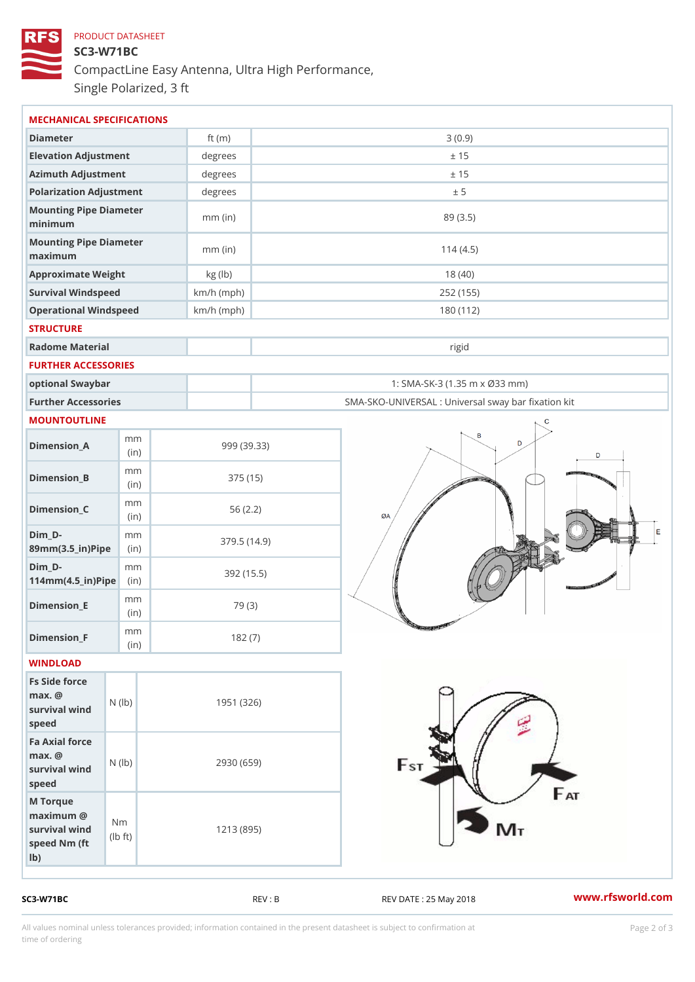## PRODUCT DATASHEET SC3-W71BC CompactLine Easy Antenna, Ultra High Performance, Single Polarized, 3 ft

| MECHANICAL SPECIFICATIONS                                                                                     |              |                                                   |
|---------------------------------------------------------------------------------------------------------------|--------------|---------------------------------------------------|
| Diameter                                                                                                      | ft $(m)$     | 3(0.9)                                            |
| Elevation Adjustment                                                                                          | degrees      | ± 15                                              |
| Azimuth Adjustment                                                                                            | $degree$ :   | ± 15                                              |
| Polarization Adjustment                                                                                       | degrees      | ± 5                                               |
| Mounting Pipe Diameter<br>minimum                                                                             | $mm$ (in)    | 89 (3.5)                                          |
| Mounting Pipe Diameter<br>maximum                                                                             | $mm$ (in)    | 114(4.5)                                          |
| Approximate Weight                                                                                            | kg (lb)      | 18(40)                                            |
| Survival Windspeed                                                                                            | $km/h$ (mph) | 252 (155)                                         |
| Operational Windspeed                                                                                         | $km/h$ (mph) | 180 (112)                                         |
| <b>STRUCTURE</b>                                                                                              |              |                                                   |
| Radome Material                                                                                               |              | rigid                                             |
| FURTHER ACCESSORIES                                                                                           |              |                                                   |
| optional Swaybar                                                                                              |              | 1: SMA-SK-3 (1.35 m x Ø33 mm)                     |
| Further Accessories                                                                                           |              | SMA-SKO-UNIVERSAL : Universal sway bar fixation l |
| MOUNTOUTLINE                                                                                                  |              |                                                   |
| m m<br>$Dimen sion_A$<br>(in)                                                                                 |              | 999 (39.33)                                       |
| m m<br>$Dimension_B$<br>(in)                                                                                  |              | 375 (15)                                          |
| m m<br>$Dimension_C$<br>(in)                                                                                  |              | 56(2.2)                                           |
| $Dim_D - D -$<br>m m<br>89mm (3.5_in) Pi(pine)                                                                |              | 379.5(14.9)                                       |
| $Dim_D - D -$<br>m m<br>$114$ m m $(4.5$ _ ir $)$ $R$ ii p $e$                                                |              | 392 (15.5)                                        |
| m m<br>$Dimension$ = E<br>(in)                                                                                |              | 79 (3)                                            |
| m m<br>$Dimen sion_F$<br>(in)                                                                                 |              | 182(7)                                            |
| WINDLOAD                                                                                                      |              |                                                   |
| Fs Side force<br>$max.$ @<br>$(\mathsf{I}\mathsf{b})$<br>survival wind<br>speed                               |              | 1951 (326)                                        |
| Fa Axial force<br>$max.$ @<br>survival wind (1b)<br>speed                                                     |              | 2930 (659)                                        |
| M Torque<br>$maximum$ @<br>N <sub>m</sub><br>survival wind<br>$\uparrow$ t )<br>(Ib<br>speed Nm (ft<br>$1b$ ) |              | 1213 (895)                                        |

SC3-W71BC REV : B REV DATE : 25 May 2018 [www.](https://www.rfsworld.com)rfsworld.com